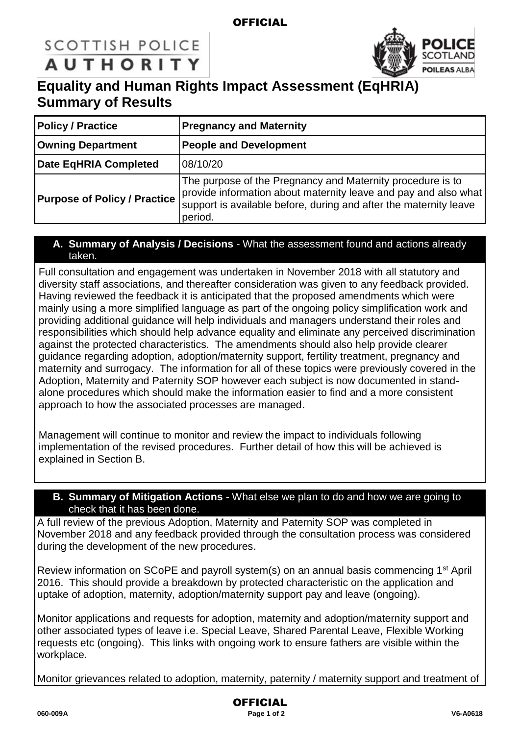### **OFFICIAL**

# **SCOTTISH POLICE AUTHORITY**



## **Equality and Human Rights Impact Assessment (EqHRIA) Summary of Results**

| <b>Policy / Practice</b>                                  | <b>Pregnancy and Maternity</b>                                                                                                                                                                                |  |
|-----------------------------------------------------------|---------------------------------------------------------------------------------------------------------------------------------------------------------------------------------------------------------------|--|
| <b>Owning Department</b><br><b>People and Development</b> |                                                                                                                                                                                                               |  |
| <b>Date EqHRIA Completed</b>                              | 08/10/20                                                                                                                                                                                                      |  |
| <b>Purpose of Policy / Practice</b>                       | The purpose of the Pregnancy and Maternity procedure is to<br>provide information about maternity leave and pay and also what<br>support is available before, during and after the maternity leave<br>period. |  |

#### **A. Summary of Analysis / Decisions** - What the assessment found and actions already taken.

Full consultation and engagement was undertaken in November 2018 with all statutory and diversity staff associations, and thereafter consideration was given to any feedback provided. Having reviewed the feedback it is anticipated that the proposed amendments which were mainly using a more simplified language as part of the ongoing policy simplification work and providing additional guidance will help individuals and managers understand their roles and responsibilities which should help advance equality and eliminate any perceived discrimination against the protected characteristics. The amendments should also help provide clearer guidance regarding adoption, adoption/maternity support, fertility treatment, pregnancy and maternity and surrogacy. The information for all of these topics were previously covered in the Adoption, Maternity and Paternity SOP however each subject is now documented in standalone procedures which should make the information easier to find and a more consistent approach to how the associated processes are managed.

Management will continue to monitor and review the impact to individuals following implementation of the revised procedures. Further detail of how this will be achieved is explained in Section B.

#### **B. Summary of Mitigation Actions** - What else we plan to do and how we are going to check that it has been done.

A full review of the previous Adoption, Maternity and Paternity SOP was completed in November 2018 and any feedback provided through the consultation process was considered during the development of the new procedures.

Review information on SCoPE and payroll system(s) on an annual basis commencing 1<sup>st</sup> April 2016. This should provide a breakdown by protected characteristic on the application and uptake of adoption, maternity, adoption/maternity support pay and leave (ongoing).

Monitor applications and requests for adoption, maternity and adoption/maternity support and other associated types of leave i.e. Special Leave, Shared Parental Leave, Flexible Working requests etc (ongoing). This links with ongoing work to ensure fathers are visible within the workplace.

Monitor grievances related to adoption, maternity, paternity / maternity support and treatment of